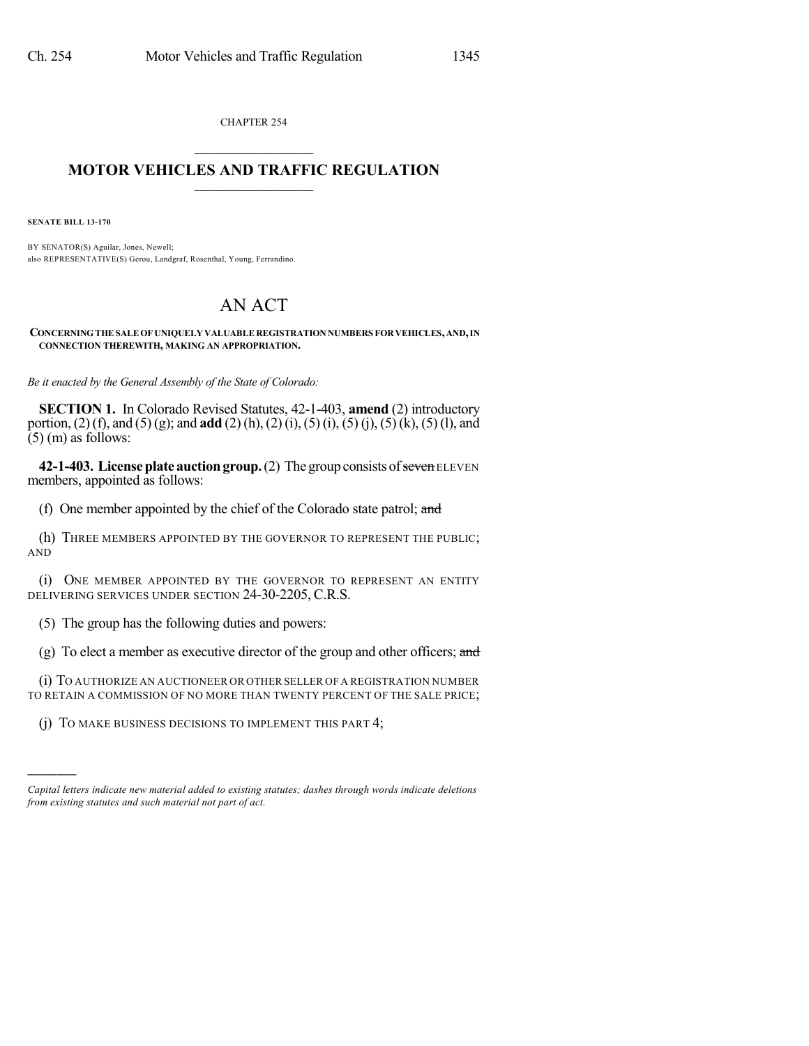CHAPTER 254

## $\overline{\phantom{a}}$  . The set of the set of the set of the set of the set of the set of the set of the set of the set of the set of the set of the set of the set of the set of the set of the set of the set of the set of the set o **MOTOR VEHICLES AND TRAFFIC REGULATION**  $\frac{1}{2}$  ,  $\frac{1}{2}$  ,  $\frac{1}{2}$  ,  $\frac{1}{2}$  ,  $\frac{1}{2}$  ,  $\frac{1}{2}$  ,  $\frac{1}{2}$

**SENATE BILL 13-170**

)))))

BY SENATOR(S) Aguilar, Jones, Newell; also REPRESENTATIVE(S) Gerou, Landgraf, Rosenthal, Young, Ferrandino.

## AN ACT

**CONCERNINGTHE SALEOF UNIQUELY VALUABLE REGISTRATION NUMBERS FORVEHICLES,AND,IN CONNECTION THEREWITH, MAKING AN APPROPRIATION.**

*Be it enacted by the General Assembly of the State of Colorado:*

**SECTION 1.** In Colorado Revised Statutes, 42-1-403, **amend** (2) introductory portion, (2) (f), and (5) (g); and **add** (2) (h), (2)(i), (5) (i), (5) (j), (5)(k), (5) (l), and  $(5)$  (m) as follows:

**42-1-403. License plate auction group.** (2) The group consists of seven ELEVEN members, appointed as follows:

(f) One member appointed by the chief of the Colorado state patrol; and

(h) THREE MEMBERS APPOINTED BY THE GOVERNOR TO REPRESENT THE PUBLIC; AND

(i) ONE MEMBER APPOINTED BY THE GOVERNOR TO REPRESENT AN ENTITY DELIVERING SERVICES UNDER SECTION 24-30-2205, C.R.S.

(5) The group has the following duties and powers:

(g) To elect a member as executive director of the group and other officers; and

(i) TO AUTHORIZE AN AUCTIONEER OR OTHER SELLER OF A REGISTRATION NUMBER TO RETAIN A COMMISSION OF NO MORE THAN TWENTY PERCENT OF THE SALE PRICE;

(j) TO MAKE BUSINESS DECISIONS TO IMPLEMENT THIS PART 4;

*Capital letters indicate new material added to existing statutes; dashes through words indicate deletions from existing statutes and such material not part of act.*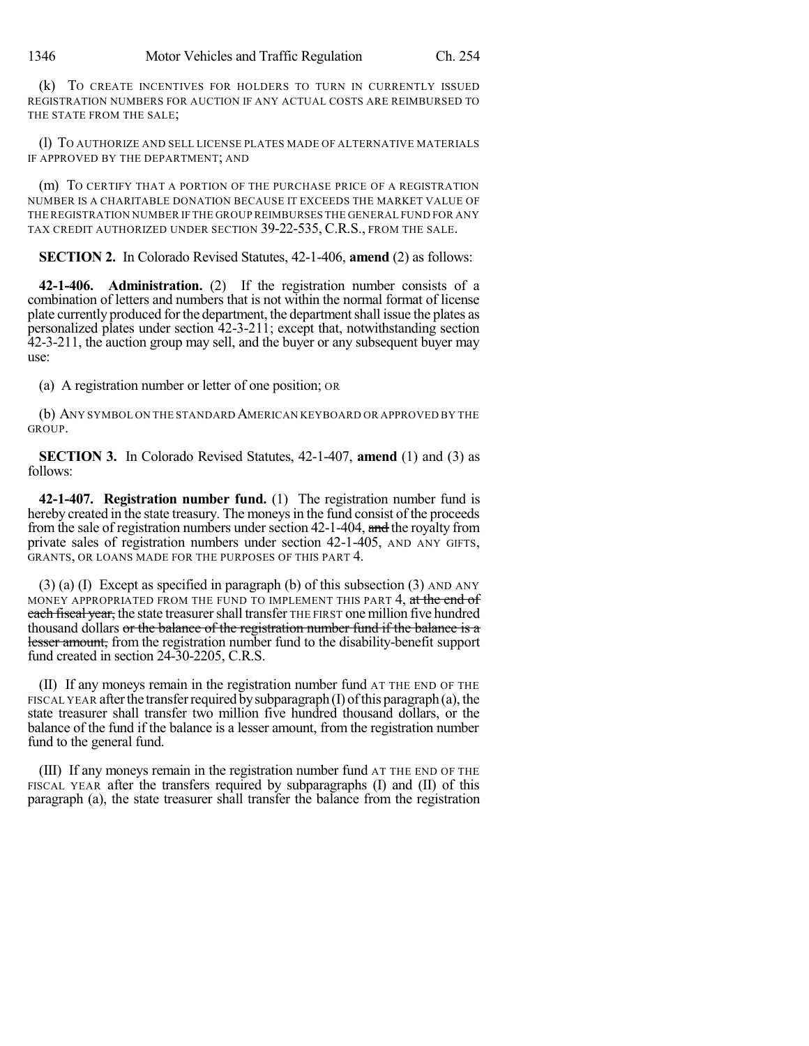(k) TO CREATE INCENTIVES FOR HOLDERS TO TURN IN CURRENTLY ISSUED REGISTRATION NUMBERS FOR AUCTION IF ANY ACTUAL COSTS ARE REIMBURSED TO THE STATE FROM THE SALE;

(l) TO AUTHORIZE AND SELL LICENSE PLATES MADE OF ALTERNATIVE MATERIALS IF APPROVED BY THE DEPARTMENT; AND

(m) TO CERTIFY THAT A PORTION OF THE PURCHASE PRICE OF A REGISTRATION NUMBER IS A CHARITABLE DONATION BECAUSE IT EXCEEDS THE MARKET VALUE OF THE REGISTRATION NUMBER IF THE GROUP REIMBURSES THE GENERAL FUND FOR ANY TAX CREDIT AUTHORIZED UNDER SECTION 39-22-535, C.R.S., FROM THE SALE.

**SECTION 2.** In Colorado Revised Statutes, 42-1-406, **amend** (2) as follows:

**42-1-406. Administration.** (2) If the registration number consists of a combination of letters and numbers that is not within the normal format of license plate currently produced for the department, the department shall issue the plates as personalized plates under section 42-3-211; except that, notwithstanding section 42-3-211, the auction group may sell, and the buyer or any subsequent buyer may use:

(a) A registration number or letter of one position; OR

(b) ANY SYMBOL ON THE STANDARD AMERICAN KEYBOARD OR APPROVED BY THE GROUP.

**SECTION 3.** In Colorado Revised Statutes, 42-1-407, **amend** (1) and (3) as follows:

**42-1-407. Registration number fund.** (1) The registration number fund is hereby created in the state treasury. The moneys in the fund consist of the proceeds from the sale of registration numbers under section 42-1-404, and the royalty from private sales of registration numbers under section 42-1-405, AND ANY GIFTS, GRANTS, OR LOANS MADE FOR THE PURPOSES OF THIS PART 4.

(3) (a) (I) Except as specified in paragraph (b) of this subsection (3) AND ANY MONEY APPROPRIATED FROM THE FUND TO IMPLEMENT THIS PART 4, at the end of each fiscal year, the state treasurer shall transfer THE FIRST one million five hundred thousand dollars or the balance of the registration number fund if the balance is a lesser amount, from the registration number fund to the disability-benefit support fund created in section 24-30-2205, C.R.S.

(II) If any moneys remain in the registration number fund AT THE END OF THE FISCAL YEAR after the transfer required by subparagraph  $(I)$  of this paragraph  $(a)$ , the state treasurer shall transfer two million five hundred thousand dollars, or the balance of the fund if the balance is a lesser amount, from the registration number fund to the general fund.

(III) If any moneys remain in the registration number fund AT THE END OF THE FISCAL YEAR after the transfers required by subparagraphs (I) and (II) of this paragraph (a), the state treasurer shall transfer the balance from the registration